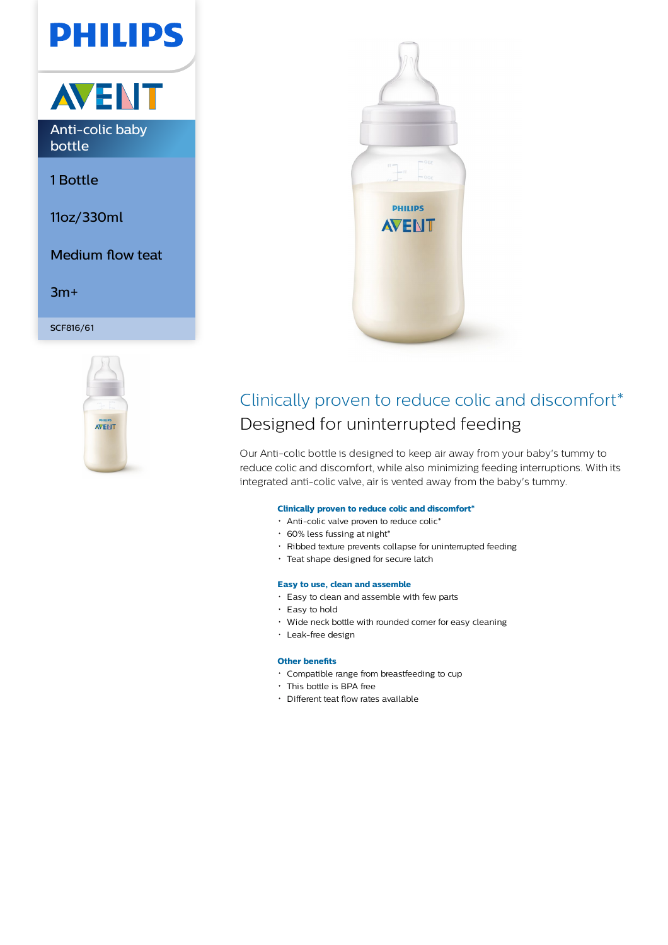# **PHILIPS**



1 Bottle

11oz/330ml

Medium flow teat

3m+

SCF816/61





### Clinically proven to reduce colic and discomfort\* Designed for uninterrupted feeding

Our Anti-colic bottle is designed to keep air away from your baby's tummy to reduce colic and discomfort, while also minimizing feeding interruptions. With its integrated anti-colic valve, air is vented away from the baby's tummy.

#### **Clinically proven to reduce colic and discomfort\***

- Anti-colic valve proven to reduce colic\*
- $\cdot$  60% less fussing at night\*
- Ribbed texture prevents collapse for uninterrupted feeding
- Teat shape designed for secure latch

#### **Easy to use, clean and assemble**

- Easy to clean and assemble with few parts
- Easy to hold
- Wide neck bottle with rounded corner for easy cleaning
- Leak-free design

#### **Other benefits**

- Compatible range from breastfeeding to cup
- This bottle is BPA free
- Different teat flow rates available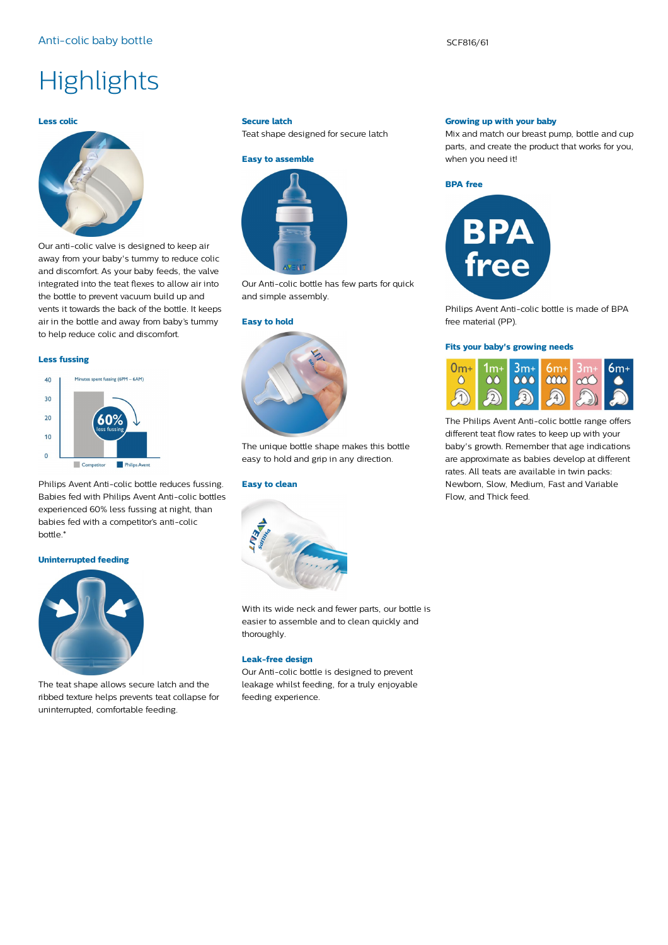## **Highlights**

#### **Less colic**



Our anti-colic valve is designed to keep air away from your baby's tummy to reduce colic and discomfort. As your baby feeds, the valve integrated into the teat flexes to allow air into the bottle to prevent vacuum build up and vents it towards the back of the bottle. It keeps air in the bottle and away from baby's tummy to help reduce colic and discomfort.

#### **Less fussing**

#### Minutes spent fussing (6PM - 6AM)  $40$  $30$  $20$  $10$  $\Omega$  $\Box$  Co **Philips Avent**

Philips Avent Anti-colic bottle reduces fussing. Babies fed with Philips Avent Anti-colic bottles experienced 60% less fussing at night, than babies fed with a competitor's anti-colic bottle.\*

#### **Uninterrupted feeding**



The teat shape allows secure latch and the ribbed texture helps prevents teat collapse for uninterrupted, comfortable feeding.

#### **Secure latch**

Teat shape designed for secure latch



Our Anti-colic bottle has few parts for quick and simple assembly.

#### **Easy to hold**



The unique bottle shape makes this bottle easy to hold and grip in any direction.

#### **Easy to clean**



With its wide neck and fewer parts, our bottle is easier to assemble and to clean quickly and thoroughly.

#### **Leak-free design**

Our Anti-colic bottle is designed to prevent leakage whilst feeding, for a truly enjoyable feeding experience.

#### **Growing up with your baby**

Mix and match our breast pump, bottle and cup parts, and create the product that works for you, when you need it!





Philips Avent Anti-colic bottle is made of BPA free material (PP).

#### **Fits your baby's growing needs**



The Philips Avent Anti-colic bottle range offers different teat flow rates to keep up with your baby's growth. Remember that age indications are approximate as babies develop at different rates. All teats are available in twin packs: Newborn, Slow, Medium, Fast and Variable Flow, and Thick feed.